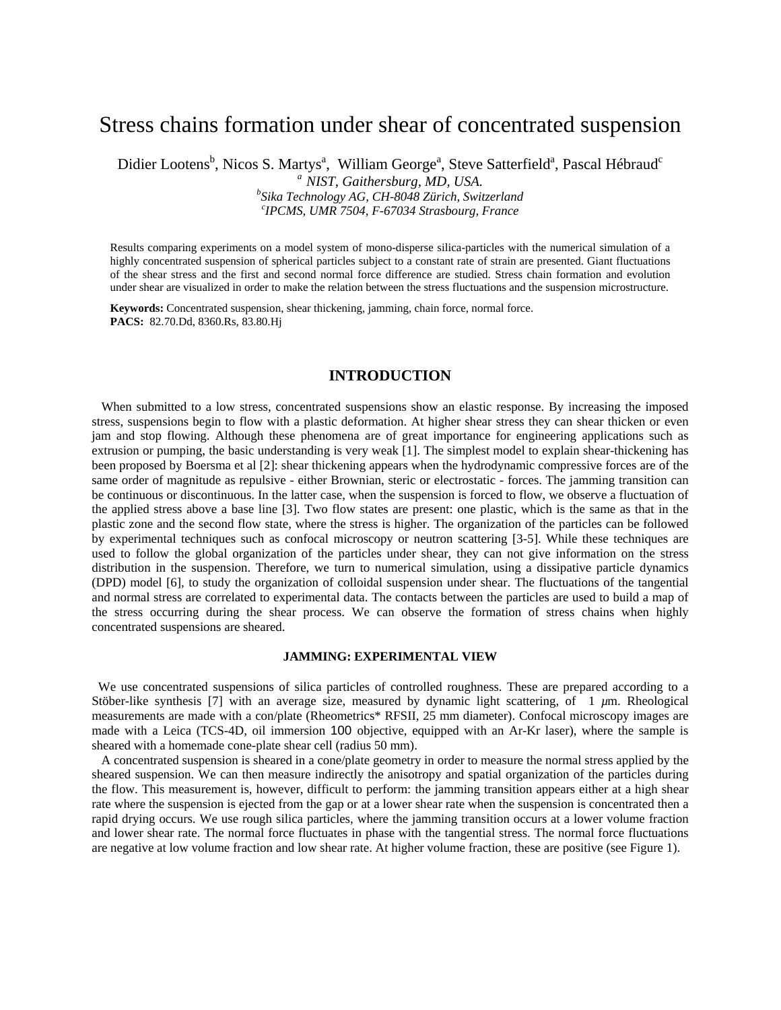# Stress chains formation under shear of concentrated suspension

Didier Lootens<sup>b</sup>, Nicos S. Martys<sup>a</sup>, William George<sup>a</sup>, Steve Satterfield<sup>a</sup>, Pascal Hébraud<sup>c</sup> *a NIST, Gaithersburg, MD, USA. <sup>b</sup> Sika Technology AG, CH-8048 Zürich, Switzerland* 

*c IPCMS, UMR 7504, F-67034 Strasbourg, France*

Results comparing experiments on a model system of mono-disperse silica-particles with the numerical simulation of a highly concentrated suspension of spherical particles subject to a constant rate of strain are presented. Giant fluctuations of the shear stress and the first and second normal force difference are studied. Stress chain formation and evolution under shear are visualized in order to make the relation between the stress fluctuations and the suspension microstructure.

**Keywords:** Concentrated suspension, shear thickening, jamming, chain force, normal force. **PACS:** 82.70.Dd, 8360.Rs, 83.80.Hj

## **INTRODUCTION**

 When submitted to a low stress, concentrated suspensions show an elastic response. By increasing the imposed stress, suspensions begin to flow with a plastic deformation. At higher shear stress they can shear thicken or even jam and stop flowing. Although these phenomena are of great importance for engineering applications such as extrusion or pumping, the basic understanding is very weak [1]. The simplest model to explain shear-thickening has been proposed by Boersma et al [2]: shear thickening appears when the hydrodynamic compressive forces are of the same order of magnitude as repulsive - either Brownian, steric or electrostatic - forces. The jamming transition can be continuous or discontinuous. In the latter case, when the suspension is forced to flow, we observe a fluctuation of the applied stress above a base line [3]. Two flow states are present: one plastic, which is the same as that in the plastic zone and the second flow state, where the stress is higher. The organization of the particles can be followed by experimental techniques such as confocal microscopy or neutron scattering [3-5]. While these techniques are used to follow the global organization of the particles under shear, they can not give information on the stress distribution in the suspension. Therefore, we turn to numerical simulation, using a dissipative particle dynamics (DPD) model [6], to study the organization of colloidal suspension under shear. The fluctuations of the tangential and normal stress are correlated to experimental data. The contacts between the particles are used to build a map of the stress occurring during the shear process. We can observe the formation of stress chains when highly concentrated suspensions are sheared.

#### **JAMMING: EXPERIMENTAL VIEW**

 We use concentrated suspensions of silica particles of controlled roughness. These are prepared according to a Stöber-like synthesis [7] with an average size, measured by dynamic light scattering, of 1 *µ*m. Rheological measurements are made with a con/plate (Rheometrics\* RFSII, 25 mm diameter). Confocal microscopy images are made with a Leica (TCS-4D, oil immersion 100 objective, equipped with an Ar-Kr laser), where the sample is sheared with a homemade cone-plate shear cell (radius 50 mm).

 A concentrated suspension is sheared in a cone/plate geometry in order to measure the normal stress applied by the sheared suspension. We can then measure indirectly the anisotropy and spatial organization of the particles during the flow. This measurement is, however, difficult to perform: the jamming transition appears either at a high shear rate where the suspension is ejected from the gap or at a lower shear rate when the suspension is concentrated then a rapid drying occurs. We use rough silica particles, where the jamming transition occurs at a lower volume fraction and lower shear rate. The normal force fluctuates in phase with the tangential stress. The normal force fluctuations are negative at low volume fraction and low shear rate. At higher volume fraction, these are positive (see Figure 1).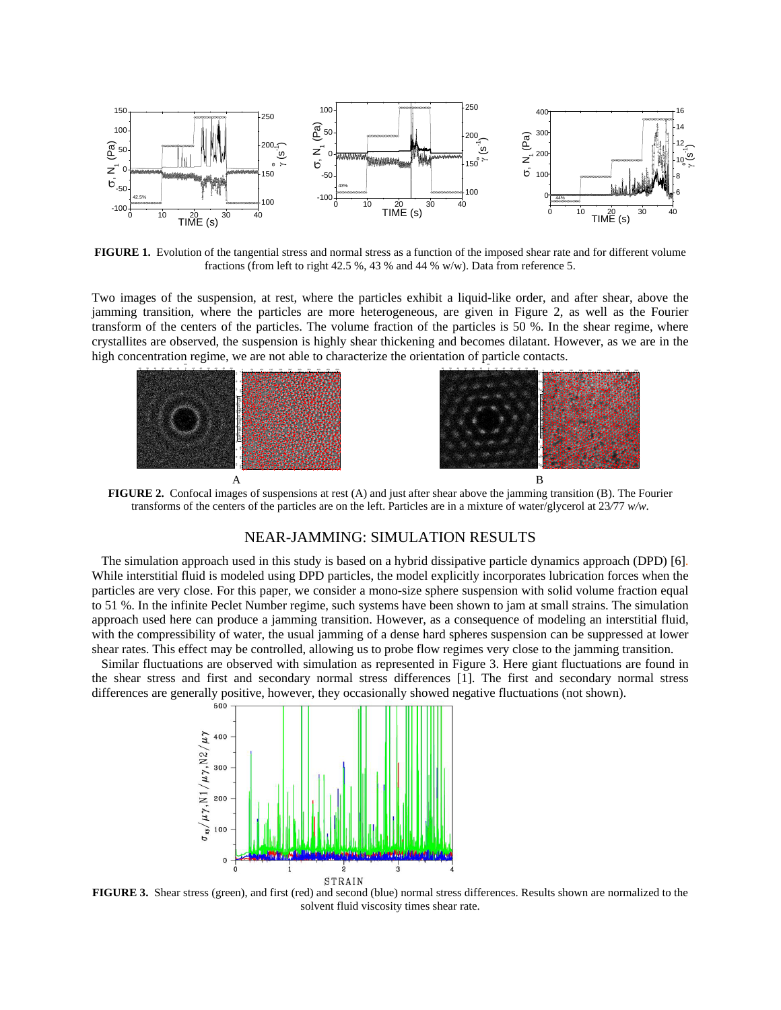

**FIGURE 1.** Evolution of the tangential stress and normal stress as a function of the imposed shear rate and for different volume fractions (from left to right 42.5 %, 43 % and 44 % w/w). Data from reference 5.

Two images of the suspension, at rest, where the particles exhibit a liquid-like order, and after shear, above the jamming transition, where the particles are more heterogeneous, are given in Figure 2, as well as the Fourier transform of the centers of the particles. The volume fraction of the particles is 50 %. In the shear regime, where crystallites are observed, the suspension is highly shear thickening and becomes dilatant. However, as we are in the high concentration regime, we are not able to characterize the orientation of particle contacts.



**FIGURE 2.** Confocal images of suspensions at rest (A) and just after shear above the jamming transition (B). The Fourier transforms of the centers of the particles are on the left. Particles are in a mixture of water/glycerol at 23*/*77 *w/w*.

## NEAR-JAMMING: SIMULATION RESULTS

The simulation approach used in this study is based on a hybrid dissipative particle dynamics approach (DPD) [6]. While interstitial fluid is modeled using DPD particles, the model explicitly incorporates lubrication forces when the particles are very close. For this paper, we consider a mono-size sphere suspension with solid volume fraction equal to 51 %. In the infinite Peclet Number regime, such systems have been shown to jam at small strains. The simulation approach used here can produce a jamming transition. However, as a consequence of modeling an interstitial fluid, with the compressibility of water, the usual jamming of a dense hard spheres suspension can be suppressed at lower shear rates. This effect may be controlled, allowing us to probe flow regimes very close to the jamming transition.

Similar fluctuations are observed with simulation as represented in Figure 3. Here giant fluctuations are found in the shear stress and first and secondary normal stress differences [1]. The first and secondary normal stress differences are generally positive, however, they occasionally showed negative fluctuations (not shown).



**FIGURE 3.** Shear stress (green), and first (red) and second (blue) normal stress differences. Results shown are normalized to the solvent fluid viscosity times shear rate.